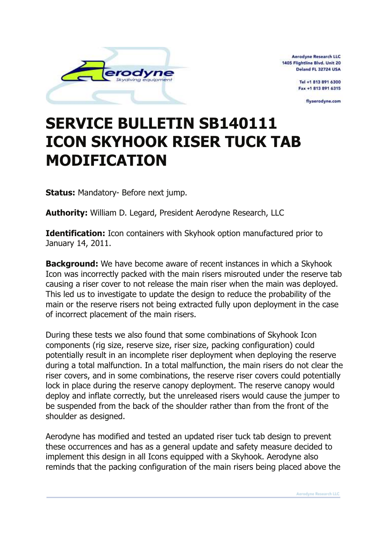

**Aerodyne Research LLC** 1405 Flightline Blvd. Unit 20 Deland FL 32724 USA

> Tel +1 813 891 6300 Fax +1 813 891 6315

> > flyaerodyne.com

## **SERVICE BULLETIN SB140111 ICON SKYHOOK RISER TUCK TAB MODIFICATION**

**Status:** Mandatory- Before next jump.

**Authority:** William D. Legard, President Aerodyne Research, LLC

**Identification:** Icon containers with Skyhook option manufactured prior to January 14, 2011.

**Background:** We have become aware of recent instances in which a Skyhook Icon was incorrectly packed with the main risers misrouted under the reserve tab causing a riser cover to not release the main riser when the main was deployed. This led us to investigate to update the design to reduce the probability of the main or the reserve risers not being extracted fully upon deployment in the case of incorrect placement of the main risers.

During these tests we also found that some combinations of Skyhook Icon components (rig size, reserve size, riser size, packing configuration) could potentially result in an incomplete riser deployment when deploying the reserve during a total malfunction. In a total malfunction, the main risers do not clear the riser covers, and in some combinations, the reserve riser covers could potentially lock in place during the reserve canopy deployment. The reserve canopy would deploy and inflate correctly, but the unreleased risers would cause the jumper to be suspended from the back of the shoulder rather than from the front of the shoulder as designed.

Aerodyne has modified and tested an updated riser tuck tab design to prevent these occurrences and has as a general update and safety measure decided to implement this design in all Icons equipped with a Skyhook. Aerodyne also reminds that the packing configuration of the main risers being placed above the